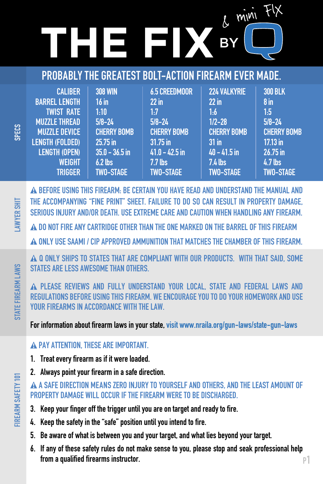# $\overline{E}$   $\overline{E}$   $\overline{B}$   $\overline{B}$   $\overline{B}$   $\overline{B}$   $\overline{B}$   $\overline{B}$   $\overline{B}$   $\overline{B}$   $\overline{B}$   $\overline{B}$   $\overline{B}$   $\overline{B}$   $\overline{B}$   $\overline{B}$   $\overline{B}$   $\overline{B}$   $\overline{B}$   $\overline{B}$   $\overline{B}$   $\overline{B}$   $\overline{B}$   $\overline{B}$   $\overline{$

# PROBABLY THE GREATEST BOLT-ACTION FIREARM EVER MADE.

| <b>CALIBER</b>       | <b>308 WIN</b>     | <b>6.5 CREEDMOOR</b> | <b>224 VALKYRIE</b> | <b>300 BLK</b>     |
|----------------------|--------------------|----------------------|---------------------|--------------------|
| <b>BARREL LENGTH</b> | 16 in              | $22$ in              | $22$ in             | 8 in               |
| <b>TWIST RATE</b>    | $1:10^{-5}$        | 1:7                  | 1.6                 | 1.5                |
| <b>MUZZLE THREAD</b> | $5/8 - 24$         | $5/8 - 24$           | $1/2 - 28$          | $5/8 - 24$         |
| <b>MUZZLE DEVICE</b> | <b>CHERRY BOMB</b> | <b>CHERRY BOMB</b>   | <b>CHERRY BOMB</b>  | <b>CHERRY BOMB</b> |
| LENGTH (FOLDED)      | $25.75$ in         | $31.75$ in           | $31$ in             | 17.13 in           |
| <b>LENGTH (OPEN)</b> | $35.0 - 36.5$ in   | $41.0 - 42.5$ in     | $40 - 41.5$ in      | 26.75 in           |
| <b>WEIGHT</b>        | $6.2$ lbs          | $7.7$ lbs            | $7.4$ lbs           | 4.7 lbs            |
| <b>TRIGGER</b>       | <b>TWO-STAGE</b>   | <b>TWO-STAGE</b>     | <b>TWO-STAGE</b>    | <b>TWO-STAGE</b>   |

 BEFORE USING THIS FIREARM: BE CERTAIN YOU HAVE READ AND UNDERSTAND THE MANUAL AND THE ACCOMPANYING "FINE PRINT" SHEET. FAILURE TO DO SO CAN RESULT IN PROPERTY DAMAGE, SERIOUS INJURY AND/OR DEATH. USE EXTREME CARE AND CAUTION WHEN HANDLING ANY FIREARM.

DO NOT FIRE ANY CARTRIDGE OTHER THAN THE ONE MARKED ON THE BARREL OF THIS FIREARM

ONLY USE SAAMI / CIP APPROVED AMMUNITION THAT MATCHES THE CHAMBER OF THIS FIREARM.

A Q ONLY SHIPS TO STATES THAT ARE COMPLIANT WITH OUR PRODUCTS. WITH THAT SAID, SOME STATES ARE LESS AWESOME THAN OTHERS.

A PLEASE REVIEWS AND FULLY UNDERSTAND YOUR LOCAL, STATE AND FEDERAL LAWS AND REGULATIONS BEFORE USING THIS FIREARM. WE ENCOURAGE YOU TO DO YOUR HOMEWORK AND USE YOUR FIREARMS IN ACCORDANCE WITH THE LAW.

For information about firearm laws in your state, visit www.nraila.org/gun-laws/state-gun-laws

#### A PAY ATTENTION. THESE ARE IMPORTANT.

- 1. Treat every firearm as if it were loaded.
- 2. Always point your firearm in a safe direction.

#### A SAFE DIRECTION MEANS ZERO INJURY TO YOURSELF AND OTHERS, AND THE LEAST AMOUNT OF PROPERTY DAMAGE WILL OCCUR IF THE FIREARM WERE TO BE DISCHARGED.

- 3. Keep your finger off the trigger until you are on target and ready to fire.
- 4. Keep the safety in the "safe" position until you intend to fire.
- 5. Be aware of what is between you and your target, and what lies beyond your target.
- 6. If any of these safety rules do not make sense to you, please stop and seak professional help from a qualified firearms instructor.

IREARM SAFETY 101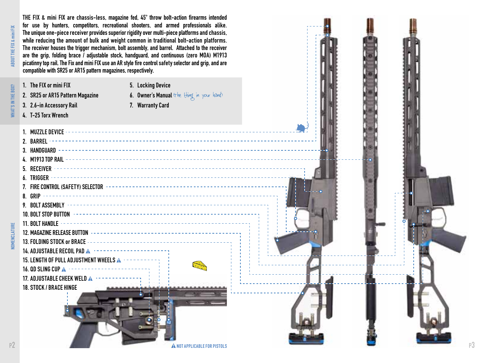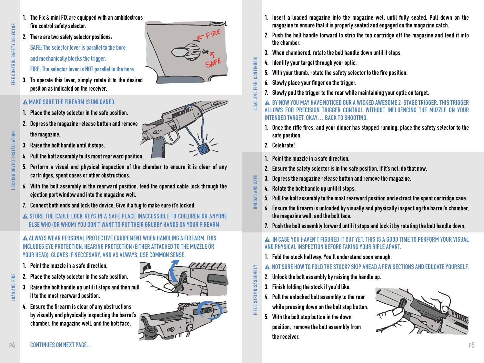- 1. The Fix & mini FIX are equipped with an ambidextrous fire control safety selector.
- 2. There are two safety selector positions:

SAFE: The selector lever is parallel to the bore and mechanically blocks the trigger.

FIRE: The selector lever is NOT parallel to the bore.

3. To operate this lever, simply rotate it to the desired position as indicated on the receiver.

## MAKE SURE THE FIREARM IS UNLOADED.

- 1. Place the safety selector in the safe position.
- 2. Depress the magazine release button and remove
	- the magazine.
- 3. Raise the bolt handle until it stops.
- 4. Pull the bolt assembly to its most rearward position.
- 5. Perform a visual and physical inspection of the chamber to ensure it is clear of any cartridges, spent cases or other obstructions.
- 6. With the bolt assembly in the rearward position, feed the opened cable lock through the ejection port window and into the magazine well.
- 7. Connect both ends and lock the device. Give it a tug to make sure it's locked.
- A STORE THE CABLE LOCK KEYS IN A SAFE PLACE INACCESSIBLE TO CHILDREN OR ANYONE ELSE WHO (OR WHOM) YOU DON'T WANT TO PUT THEIR GRUBBY HANDS ON YOUR FIREARM.

 ALWAYS WEAR PERSONAL PROTECTIVE EQUIPEMENT WHEN HANDLING A FIREARM. THIS INCLUDES EYE PROTECTION, HEARING PROTECTION (EITHER ATTACHED TO THE MUZZLE OR YOUR HEAD), GLOVES IF NECCESARY, AND AS ALWAYS, USE COMMON SENSE.

- 1. Point the muzzle in a safe direction.
- 2. Place the safety selector in the safe position.
- 3. Raise the bolt handle up until it stops and then pull it to the most rearward position.
- 4. Ensure the firearm is clear of any obstructions by visually and physically inspecting the barrel's chamber, the magazine well, and the bolt face.





- 1. Insert a loaded magazine into the magazine well until fully seated. Pull down on the magazine to ensure that it is properly seated and engaged on the magazine catch.
- 2. Push the bolt handle forward to strip the top cartridge off the magazine and feed it into the chamber.
- 3. When chambered, rotate the bolt handle down until it stops.
- 4. Identify your target through your optic.
- 5. With your thumb, rotate the safety selector to the fire position.
- 6. Slowly place your finger on the trigger.
- 7. Slowly pull the trigger to the rear while maintaining your optic on target.
- BY NOW YOU MAY HAVE NOTICED OUR A WICKED AWESOME 2-STAGE TRIGGER. THIS TRIGGER ALLOWS FOR PRECISION TRIGGER CONTROL WITHOUT INFLUENCING THE MUZZLE ON YOUR INTENDED TARGET. OKAY… BACK TO SHOOTING.
- 1. Once the rifle fires, and your dinner has stopped running, place the safety selector to the safe position.
- 2. Celebrate!
- 1. Point the muzzle in a safe direction.
- 2. Ensure the safety selector is in the safe position. If it's not, do that now.
- 3. Depress the magazine release button and remove the magazine.
- 4. Rotate the bolt handle up until it stops.
- 5. Pull the bolt assembly to the most rearward position and extract the spent cartridge case.
- 6. Ensure the firearm is unloaded by visually and physically inspecting the barrel's chamber, the magazine well, and the bolt face.
- 7. Push the bolt assembly forward until it stops and lock it by rotating the bolt handle down.

#### IN CASE YOU HAVEN'T FIGURED IT OUT YET, THIS IS A GOOD TIME TO PERFORM YOUR VISUAL AND PHYSICAL INSPECTION BEFORE TAKING YOUR RIFLE APART.

- 1. Fold the stock halfway. You'll understand soon enough.
- NOT SURE HOW TO FOLD THE STOCK? SKIP AHEAD A FEW SECTIONS AND EDUCATE YOURSELF.
- 2. Unlock the bolt assembly by raising the handle up.
- 3. Finish folding the stock if you'd like.
- 4. Pull the unlocked bolt assembly to the rear while pressing down on the bolt stop button.
- 5. With the bolt stop button in the down

position, remove the bolt assembly from the receiver.

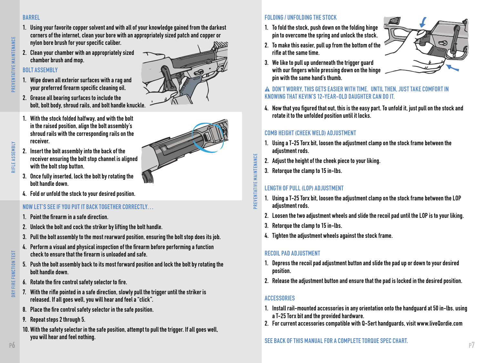#### BARREL

- 1. Using your favorite copper solvent and with all of your knowledge gained from the darkest corners of the internet, clean your bore with an appropriately sized patch and copper or nylon bore brush for your specific caliber.
- 2. Clean your chamber with an appropriately sized chamber brush and mop.

# BOLT ASSEMBLY

1. Wipe down all exterior surfaces with a rag and your preferred firearm specific cleaning oil.



- 2. Grease all bearing surfaces to include the bolt, bolt body, shroud rails, and bolt handle knuckle.
- 1. With the stock folded halfway, and with the bolt in the raised position, align the bolt assembly's shroud rails with the corresponding rails on the receiver.

- 3. Once fully inserted, lock the bolt by rotating the bolt handle down.
- 4. Fold or unfold the stock to your desired position.

# NOW LET'S SEE IF YOU PUT IT BACK TOGETHER CORRECTLY…

- 1. Point the firearm in a safe direction.
- 2. Unlock the bolt and cock the striker by lifting the bolt handle.
- 3. Pull the bolt assembly to the most rearward position, ensuring the bolt stop does its job.
- 4. Perform a visual and physical inspection of the firearm before performing a function check to ensure that the firearm is unloaded and safe.
- 5. Push the bolt assembly back to its most forward position and lock the bolt by rotating the bolt handle down.
- 6. Rotate the fire control safety selector to fire.
- 7. With the rifle pointed in a safe direction, slowly pull the trigger until the striker is released. If all goes well, you will hear and feel a "click".
- 8. Place the fire control safety selector in the safe position.
- 9. Repeat steps 2 through 5.
- 10. With the safety selector in the safe position, attempt to pull the trigger. If all goes well, you will hear and feel nothing.

# FOLDING / UNFOLDING THE STOCK

- 1. To fold the stock, push down on the folding hinge pin to overcome the spring and unlock the stock.
- 2. To make this easier, pull up from the bottom of the rifle at the same time.
- 3. We like to pull up underneath the trigger guard with our fingers while pressing down on the hinge pin with the same hand's thumb.

#### DON'T WORRY, THIS GETS EASIER WITH TIME. UNTIL THEN, JUST TAKE COMFORT IN KNOWING THAT KEVIN'S 12-YEAR-OLD DAUGHTER CAN DO IT.

4. Now that you figured that out, this is the easy part. To unfold it, just pull on the stock and rotate it to the unfolded position until it locks.

## COMB HEIGHT (CHEEK WELD) ADJUSTMENT

- 1. Using a T-25 Torx bit, loosen the adjustment clamp on the stock frame between the adiustment rods.
- 2. Adjust the height of the cheek piece to your liking.
- 3. Retorque the clamp to 15 in-lbs.

# LENGTH OF PILL (LOP) AD UISTMENT

- 1. Using a T-25 Torx bit, loosen the adjustment clamp on the stock frame between the LOP adiustment rods.
- 2. Loosen the two adjustment wheels and slide the recoil pad until the LOP is to your liking.
- 3. Retorque the clamp to 15 in-lbs.
- 4. Tighten the adjustment wheels against the stock frame.

# RECOIL PAD ADJUSTMENT

- 1. Depress the recoil pad adjustment button and slide the pad up or down to your desired position.
- 2. Release the adjustment button and ensure that the pad is locked in the desired position.

#### ACCESSORIES

- 1. Install rail-mounted accessories in any orientation onto the handguard at 50 in-lbs. using a T-25 Torx bit and the provided hardware.
- 2. For current accessories compatible with Q-Sert handguards, visit www.liveQordie.com